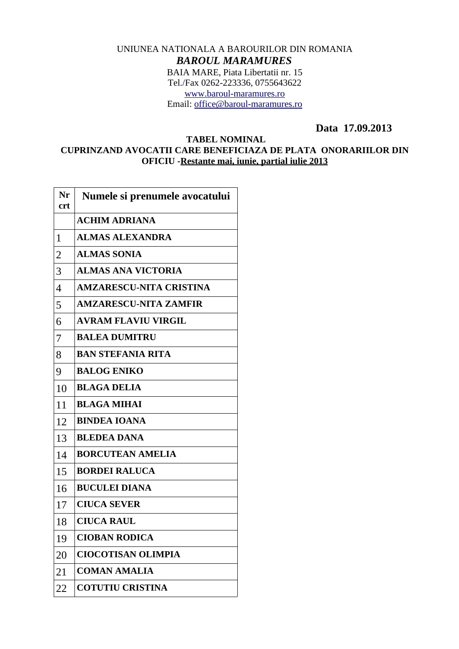## UNIUNEA NATIONALA A BAROURILOR DIN ROMANIA *BAROUL MARAMURES* BAIA MARE, Piata Libertatii nr. 15 Tel./Fax 0262-223336, 0755643622 [www.baroul-maramures.ro](http://www.baroul-maramures.ro/) Email: [office@baroul-maramures.ro](mailto:office@baroul-maramures.ro)

 **Data 17.09.2013**

## **TABEL NOMINAL CUPRINZAND AVOCATII CARE BENEFICIAZA DE PLATA ONORARIILOR DIN OFICIU -Restante mai, iunie, partial iulie 2013**

| Nr<br>crt      | Numele si prenumele avocatului |
|----------------|--------------------------------|
|                | <b>ACHIM ADRIANA</b>           |
| 1              | <b>ALMAS ALEXANDRA</b>         |
| $\overline{2}$ | <b>ALMAS SONIA</b>             |
| 3              | <b>ALMAS ANA VICTORIA</b>      |
| 4              | <b>AMZARESCU-NITA CRISTINA</b> |
| 5              | <b>AMZARESCU-NITA ZAMFIR</b>   |
| 6              | <b>AVRAM FLAVIU VIRGIL</b>     |
| 7              | <b>BALEA DUMITRU</b>           |
| 8              | <b>BAN STEFANIA RITA</b>       |
| 9              | <b>BALOG ENIKO</b>             |
| 10             | <b>BLAGA DELIA</b>             |
| 11             | <b>BLAGA MIHAI</b>             |
| 12             | <b>BINDEA IOANA</b>            |
| 13             | <b>BLEDEA DANA</b>             |
| 14             | <b>BORCUTEAN AMELIA</b>        |
| 15             | <b>BORDEI RALUCA</b>           |
| 16             | <b>BUCULEI DIANA</b>           |
| 17             | <b>CIUCA SEVER</b>             |
| 18             | <b>CIUCA RAUL</b>              |
| 19             | <b>CIOBAN RODICA</b>           |
| 20             | <b>CIOCOTISAN OLIMPIA</b>      |
| 21             | <b>COMAN AMALIA</b>            |
| 22             | <b>COTUTIU CRISTINA</b>        |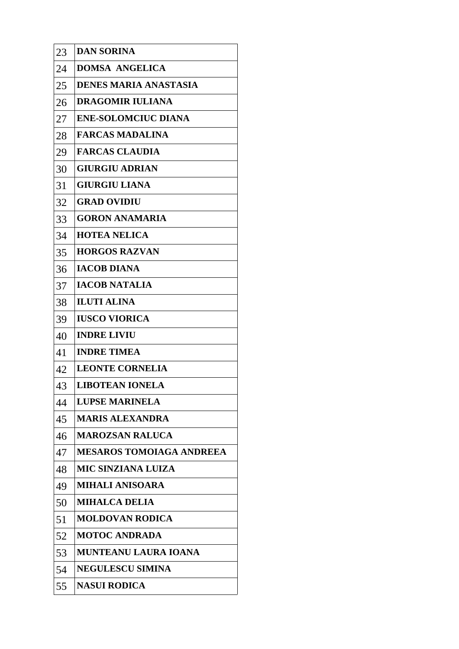| 23 | <b>DAN SORINA</b>               |
|----|---------------------------------|
| 24 | <b>DOMSA ANGELICA</b>           |
| 25 | <b>DENES MARIA ANASTASIA</b>    |
| 26 | <b>DRAGOMIR IULIANA</b>         |
| 27 | <b>ENE-SOLOMCIUC DIANA</b>      |
| 28 | <b>FARCAS MADALINA</b>          |
| 29 | <b>FARCAS CLAUDIA</b>           |
| 30 | <b>GIURGIU ADRIAN</b>           |
| 31 | <b>GIURGIU LIANA</b>            |
| 32 | <b>GRAD OVIDIU</b>              |
| 33 | <b>GORON ANAMARIA</b>           |
| 34 | <b>HOTEA NELICA</b>             |
| 35 | <b>HORGOS RAZVAN</b>            |
| 36 | <b>IACOB DIANA</b>              |
| 37 | <b>IACOB NATALIA</b>            |
| 38 | <b>ILUTI ALINA</b>              |
| 39 | <b>IUSCO VIORICA</b>            |
| 40 | <b>INDRE LIVIU</b>              |
| 41 | <b>INDRE TIMEA</b>              |
| 42 | <b>LEONTE CORNELIA</b>          |
| 43 | <b>LIBOTEAN IONELA</b>          |
| 44 | <b>LUPSE MARINELA</b>           |
| 45 | <b>MARIS ALEXANDRA</b>          |
| 46 | <b>MAROZSAN RALUCA</b>          |
| 47 | <b>MESAROS TOMOIAGA ANDREEA</b> |
| 48 | <b>MIC SINZIANA LUIZA</b>       |
| 49 | <b>MIHALI ANISOARA</b>          |
| 50 | <b>MIHALCA DELIA</b>            |
| 51 | <b>MOLDOVAN RODICA</b>          |
| 52 | <b>MOTOC ANDRADA</b>            |
| 53 | <b>MUNTEANU LAURA IOANA</b>     |
| 54 | <b>NEGULESCU SIMINA</b>         |
| 55 | <b>NASUI RODICA</b>             |